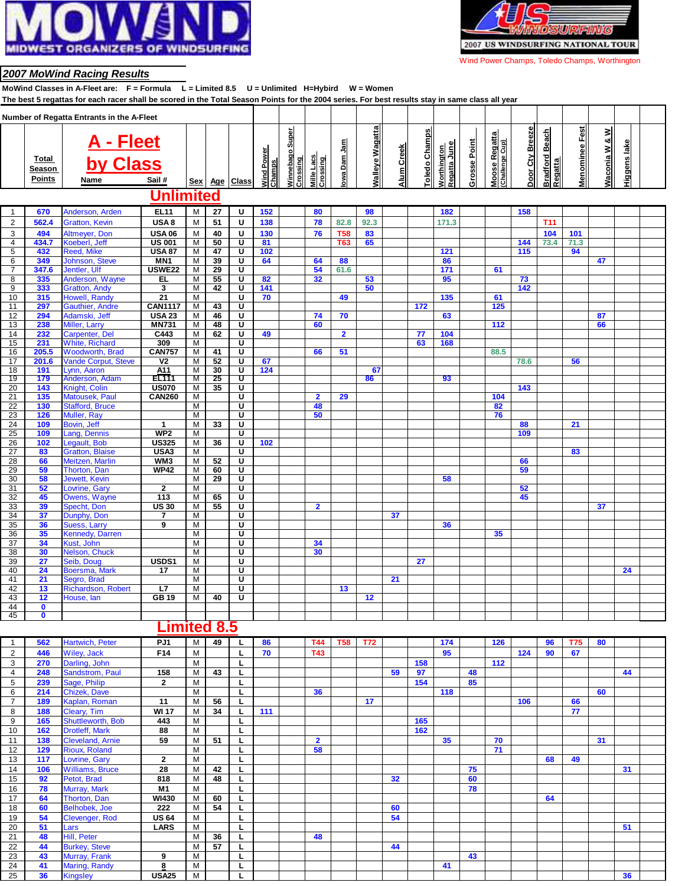



Wind Power Champs, Toledo Champs, Worthington

#### **2007 MoWind Racing Results**

**MoWind Classes in A-Fleet are: F = Formula L = Limited 8.5 U = Unlimited H=Hybird W = Women**

| The best 5 regattas for each racer shall be scored in the Total Season Points for the 2004 series. For best results stay in same class all year<br>Number of Regatta Entrants in the A-Fleet |                                  |                                         |                     |            |            |                         |                      |                                |                        |                |                        |            |               |                             |              |                                         |                 |                                         |                       |               |              |  |
|----------------------------------------------------------------------------------------------------------------------------------------------------------------------------------------------|----------------------------------|-----------------------------------------|---------------------|------------|------------|-------------------------|----------------------|--------------------------------|------------------------|----------------|------------------------|------------|---------------|-----------------------------|--------------|-----------------------------------------|-----------------|-----------------------------------------|-----------------------|---------------|--------------|--|
|                                                                                                                                                                                              |                                  |                                         |                     |            |            |                         |                      |                                |                        |                |                        |            |               |                             |              |                                         |                 |                                         |                       |               |              |  |
|                                                                                                                                                                                              | Total<br>Season<br><b>Points</b> | <b>A - Fleet</b><br>by Class<br>Name    | Sail#               | <b>Sex</b> | <u>Age</u> | <b>Class</b>            | Wind Power<br>Champs | Super<br>Winnebago<br>Crossing | Mille Lacs<br>Crossing | owa Dam Jam    | <b>Walleye Wagatta</b> | Alum Creek | Toledo Champs | Regatta June<br>Worthington | Grosse Point | <b>Moose Regatta</b><br>(Challenge Cup) | Door Cty Breeze | <b>Bradford Beach</b><br><b>Regatta</b> | <b>Menominee Fest</b> | Waconia W & W | Higgens lake |  |
|                                                                                                                                                                                              |                                  |                                         | Unlimited           |            |            |                         |                      |                                |                        |                |                        |            |               |                             |              |                                         |                 |                                         |                       |               |              |  |
| $\mathbf{1}$                                                                                                                                                                                 | 670                              | Anderson, Arden                         | <b>EL11</b>         | М          | 27         | U                       | 152                  |                                | 80                     |                | 98                     |            |               | 182                         |              |                                         | 158             |                                         |                       |               |              |  |
| 2                                                                                                                                                                                            | 562.4                            | <b>Gratton, Kevin</b>                   | USA8                | M          | 51         | U                       | 138                  |                                | 78                     | 82.8           | 92.3                   |            |               | 171.3                       |              |                                         |                 | <b>T11</b>                              |                       |               |              |  |
| 3                                                                                                                                                                                            | 494                              | Altmeyer, Don                           | <b>USA 06</b>       | M          | 40         | U                       | 130                  |                                | 76                     | <b>T58</b>     | 83                     |            |               |                             |              |                                         |                 | 104                                     | 101                   |               |              |  |
| 4                                                                                                                                                                                            | 434.7                            | Koeberl, Jeff                           | <b>US 001</b>       | M          | 50         | Ū                       | 81                   |                                |                        | T63            | 65                     |            |               |                             |              |                                         | 144             | 73.4                                    | 71.3                  |               |              |  |
| 5                                                                                                                                                                                            | 432                              | <b>Reed, Mike</b>                       | <b>USA 87</b>       | М          | 47         | Ū                       | 102                  |                                |                        |                |                        |            |               | 121                         |              |                                         | 115             |                                         | 94                    |               |              |  |
| 6                                                                                                                                                                                            | 349                              | Johnson, Steve                          | MN <sub>1</sub>     | M          | 39         | $\overline{\mathsf{u}}$ | 64                   |                                | 64                     | 88             |                        |            |               | 86                          |              |                                         |                 |                                         |                       | 47            |              |  |
| 7                                                                                                                                                                                            | 347.6                            | Jentler, Ulf                            | <b>USWE22</b>       | M          | 29         | Ū                       |                      |                                | 54                     | 61.6           |                        |            |               | 171                         |              | 61                                      |                 |                                         |                       |               |              |  |
| 8                                                                                                                                                                                            | 335                              | Anderson, Wayne                         | EL                  | М          | 55         | U                       | 82                   |                                | 32                     |                | 53                     |            |               | 95                          |              |                                         | 73              |                                         |                       |               |              |  |
| 9                                                                                                                                                                                            | 333                              | <b>Gratton, Andy</b>                    | 3                   | M          | 42         | U                       | 141                  |                                |                        |                | 50                     |            |               |                             |              |                                         | 142             |                                         |                       |               |              |  |
| 10                                                                                                                                                                                           | 315                              | Howell, Randy                           | $\overline{21}$     | М          |            | U                       | 70                   |                                |                        | 49             |                        |            |               | 135                         |              | 61                                      |                 |                                         |                       |               |              |  |
| 11                                                                                                                                                                                           | 297                              | <b>Gauthier, Andre</b>                  | <b>CAN1117</b>      | М          | 43         | $\overline{\mathtt{U}}$ |                      |                                |                        |                |                        |            | 172           |                             |              | 125                                     |                 |                                         |                       |               |              |  |
| 12                                                                                                                                                                                           | 294                              | Adamski, Jeff                           | <b>USA 23</b>       | М          | 46         | Ū                       |                      |                                | 74                     | 70             |                        |            |               | 63                          |              |                                         |                 |                                         |                       | 87            |              |  |
| 13                                                                                                                                                                                           | 238                              | Miller, Larry                           | <b>MN731</b>        | M          | 48         | ण                       |                      |                                | 60                     |                |                        |            |               |                             |              | 112                                     |                 |                                         |                       | 66            |              |  |
| 14                                                                                                                                                                                           | 232                              | Carpenter, Del                          | C443                | M          | 62         | Ū<br>᠊ण                 | 49                   |                                |                        | $\overline{2}$ |                        |            | 77            | 104                         |              |                                         |                 |                                         |                       |               |              |  |
| 15                                                                                                                                                                                           | 231                              | <b>White, Richard</b>                   | 309                 | M          |            | ᠊ᡨ                      |                      |                                |                        |                |                        |            | 63            | 168                         |              |                                         |                 |                                         |                       |               |              |  |
| 16                                                                                                                                                                                           | 205.5                            | <b>Woodworth, Brad</b>                  | <b>CAN757</b>       | M          | 41         |                         |                      |                                | 66                     | 51             |                        |            |               |                             |              | 88.5                                    |                 |                                         |                       |               |              |  |
| 17                                                                                                                                                                                           | 201.6                            | <b>Vande Corput, Steve</b>              | $\overline{V}$      | М          | 52         | Ū                       | 67                   |                                |                        |                |                        |            |               |                             |              |                                         | 78.6            |                                         | 56                    |               |              |  |
| 18<br>19                                                                                                                                                                                     | 191<br>179                       | ynn, Aaron<br>Anderson, Adam            | A11<br><b>EL111</b> | M<br>Μ     | 30<br>25   | U<br>U                  | 124                  |                                |                        |                | 67<br>86               |            |               | 93                          |              |                                         |                 |                                         |                       |               |              |  |
| 20                                                                                                                                                                                           | 143                              | Knight, Colin                           | <b>US070</b>        | М          | 35         | Ū                       |                      |                                |                        |                |                        |            |               |                             |              |                                         | 143             |                                         |                       |               |              |  |
| 21                                                                                                                                                                                           | 135                              | Matousek, Paul                          | <b>CAN260</b>       | М          |            | Ū                       |                      |                                | $\overline{2}$         | 29             |                        |            |               |                             |              | 104                                     |                 |                                         |                       |               |              |  |
| 22                                                                                                                                                                                           | 130                              | <b>Stafford, Bruce</b>                  |                     | М          |            | Ū                       |                      |                                | 48                     |                |                        |            |               |                             |              | 82                                      |                 |                                         |                       |               |              |  |
| 23                                                                                                                                                                                           | 126                              | <b>Muller, Ray</b>                      |                     | м          |            | Ū                       |                      |                                | 50                     |                |                        |            |               |                             |              | 76                                      |                 |                                         |                       |               |              |  |
| 24                                                                                                                                                                                           | 109                              | Bovin, Jeff                             | 1                   | М          | 33         | Ū                       |                      |                                |                        |                |                        |            |               |                             |              |                                         | 88              |                                         | 21                    |               |              |  |
| 25                                                                                                                                                                                           | 109                              | Lang, Dennis                            | WP <sub>2</sub>     | M          |            | Ū                       |                      |                                |                        |                |                        |            |               |                             |              |                                         | 109             |                                         |                       |               |              |  |
| 26                                                                                                                                                                                           | 102                              | Legault, Bob                            | <b>US325</b>        | М          | 36         | Ū                       | 102                  |                                |                        |                |                        |            |               |                             |              |                                         |                 |                                         |                       |               |              |  |
| 27                                                                                                                                                                                           | 83                               | <b>Gratton, Blaise</b>                  | USA3                | М          |            | U                       |                      |                                |                        |                |                        |            |               |                             |              |                                         |                 |                                         | 83                    |               |              |  |
| 28                                                                                                                                                                                           | 66                               | Meitzen, Marlin                         | WM <sub>3</sub>     | M          | 52         | Ū                       |                      |                                |                        |                |                        |            |               |                             |              |                                         | 66              |                                         |                       |               |              |  |
| 29                                                                                                                                                                                           | 59                               | Thorton, Dan                            | <b>WP42</b>         | M          | 60         | U                       |                      |                                |                        |                |                        |            |               |                             |              |                                         | 59              |                                         |                       |               |              |  |
| 30                                                                                                                                                                                           | 58                               | Jewett, Kevin                           |                     | М          | 29         | Ū                       |                      |                                |                        |                |                        |            |               | 58                          |              |                                         |                 |                                         |                       |               |              |  |
| 31                                                                                                                                                                                           | 52                               | <b>Lovrine, Gary</b>                    | $\mathbf{2}$        | M          |            | Ū                       |                      |                                |                        |                |                        |            |               |                             |              |                                         | 52              |                                         |                       |               |              |  |
| 32                                                                                                                                                                                           | 45                               | <b>Owens, Wayne</b>                     | 113                 | M          | 65         | $\overline{\mathtt{U}}$ |                      |                                |                        |                |                        |            |               |                             |              |                                         | 45              |                                         |                       |               |              |  |
| 33                                                                                                                                                                                           | 39                               | Specht, Don                             | <b>US30</b>         | M          | 55         | Ū                       |                      |                                | $\overline{2}$         |                |                        |            |               |                             |              |                                         |                 |                                         |                       | 37            |              |  |
| 34                                                                                                                                                                                           | 37                               | Dunphy, Don                             | 7                   | М          |            | U                       |                      |                                |                        |                |                        | 37         |               |                             |              |                                         |                 |                                         |                       |               |              |  |
| 35                                                                                                                                                                                           | 36                               | Suess, Larry                            | 9                   | М          |            | U                       |                      |                                |                        |                |                        |            |               | 36                          |              |                                         |                 |                                         |                       |               |              |  |
| 36                                                                                                                                                                                           | 35                               | Kennedy, Darren                         |                     | M          |            | Ū                       |                      |                                |                        |                |                        |            |               |                             |              | 35                                      |                 |                                         |                       |               |              |  |
| 37                                                                                                                                                                                           | 34                               | Kust, John                              |                     | M          |            | Ū                       |                      |                                | 34                     |                |                        |            |               |                             |              |                                         |                 |                                         |                       |               |              |  |
| 38                                                                                                                                                                                           | 30                               | Nelson, Chuck                           |                     | M          |            | Ū                       |                      |                                | 30                     |                |                        |            |               |                             |              |                                         |                 |                                         |                       |               |              |  |
| 39                                                                                                                                                                                           | 27                               | Seib, Doug                              | USDS1               | М          |            | U<br>Ū                  |                      |                                |                        |                |                        |            | 27            |                             |              |                                         |                 |                                         |                       |               |              |  |
| 40                                                                                                                                                                                           | 24                               | Boersma, Mark                           | 17                  | M<br>M     |            | Ū                       |                      |                                |                        |                |                        |            |               |                             |              |                                         |                 |                                         |                       |               | 24           |  |
| 41                                                                                                                                                                                           | 21<br>13                         | Segro, Brad                             | L7                  | М          |            | Ū                       |                      |                                |                        | 13             |                        | 21         |               |                             |              |                                         |                 |                                         |                       |               |              |  |
| 42<br>43                                                                                                                                                                                     | 12                               | <b>Richardson, Robert</b><br>House, lan | GB 19               | М          | 40         | U                       |                      |                                |                        |                | 12                     |            |               |                             |              |                                         |                 |                                         |                       |               |              |  |
| 44                                                                                                                                                                                           | $\mathbf 0$                      |                                         |                     |            |            |                         |                      |                                |                        |                |                        |            |               |                             |              |                                         |                 |                                         |                       |               |              |  |
| 45                                                                                                                                                                                           | $\overline{\mathbf{0}}$          |                                         |                     |            |            |                         |                      |                                |                        |                |                        |            |               |                             |              |                                         |                 |                                         |                       |               |              |  |
|                                                                                                                                                                                              |                                  |                                         |                     |            |            |                         |                      |                                |                        |                |                        |            |               |                             |              |                                         |                 |                                         |                       |               |              |  |

## **Limited 8.5**

|                | 562 | Hartwich, Peter         | PJ <sub>1</sub> | м | 49 | 86  | <b>T44</b>     | <b>T58</b> | <b>T72</b> |    |     | 174 |    | 126   |     | 96 | <b>T75</b> | 80 |    |  |
|----------------|-----|-------------------------|-----------------|---|----|-----|----------------|------------|------------|----|-----|-----|----|-------|-----|----|------------|----|----|--|
| $\overline{2}$ | 446 | Wiley, Jack             | F14             | М |    | 70  | <b>T43</b>     |            |            |    |     | 95  |    |       | 124 | 90 | 67         |    |    |  |
| 3              | 270 | Darling, John           |                 | М |    |     |                |            |            |    | 158 |     |    | $112$ |     |    |            |    |    |  |
| 4              | 248 | Sandstrom, Paul         | 158             | м | 43 |     |                |            |            | 59 | 97  |     | 48 |       |     |    |            |    | 44 |  |
| 5              | 239 | Sage, Philip            | $\mathbf{2}$    | M |    |     |                |            |            |    | 154 |     | 85 |       |     |    |            |    |    |  |
| 6              | 214 | Chizek, Dave            |                 | м |    |     | 36             |            |            |    |     | 118 |    |       |     |    |            | 60 |    |  |
| $\overline{7}$ | 189 | Kaplan, Roman           | 11              | M | 56 |     |                |            | 17         |    |     |     |    |       | 106 |    | 66         |    |    |  |
| 8              | 188 | Cleary, Tim             | <b>WI17</b>     | M | 34 | 111 |                |            |            |    |     |     |    |       |     |    | 77         |    |    |  |
| 9              | 165 | Shuttleworth, Bob       | 443             | M |    |     |                |            |            |    | 165 |     |    |       |     |    |            |    |    |  |
| 10             | 162 | Drotleff, Mark          | 88              | M |    |     |                |            |            |    | 162 |     |    |       |     |    |            |    |    |  |
| 11             | 138 | <b>Cleveland, Arnie</b> | 59              | M | 51 |     | $\overline{2}$ |            |            |    |     | 35  |    | 70    |     |    |            | 31 |    |  |
| 12             | 129 | Rioux, Roland           |                 | M |    |     | 58             |            |            |    |     |     |    | 71    |     |    |            |    |    |  |
| 13             | 117 | Lovrine, Gary           | $\mathbf{2}$    | M |    |     |                |            |            |    |     |     |    |       |     | 68 | 49         |    |    |  |
| 14             | 106 | <b>Williams, Bruce</b>  | 28              | M | 42 |     |                |            |            |    |     |     | 75 |       |     |    |            |    | 31 |  |
| 15             | 92  | Petot, Brad             | 818             | м | 48 |     |                |            |            | 32 |     |     | 60 |       |     |    |            |    |    |  |
| 16             | 78  | Murray, Mark            | M1              | м |    |     |                |            |            |    |     |     | 78 |       |     |    |            |    |    |  |
| 17             | 64  | Thorton, Dan            | <b>WI430</b>    | м | 60 |     |                |            |            |    |     |     |    |       |     | 64 |            |    |    |  |
| 18             | 60  | Belhobek, Joe           | 222             | м | 54 |     |                |            |            | 60 |     |     |    |       |     |    |            |    |    |  |
| 19             | 54  | Clevenger, Rod          | US 64           | M |    |     |                |            |            | 54 |     |     |    |       |     |    |            |    |    |  |
| 20             | 51  | Lars                    | <b>LARS</b>     | м |    |     |                |            |            |    |     |     |    |       |     |    |            |    | 51 |  |
| 21             | 48  | Hill, Peter             |                 | м | 36 |     | 48             |            |            |    |     |     |    |       |     |    |            |    |    |  |
| 22             | 44  | <b>Burkey, Steve</b>    |                 | м | 57 |     |                |            |            | 44 |     |     |    |       |     |    |            |    |    |  |
| 23             | 43  | Murray, Frank           | 9               | M |    |     |                |            |            |    |     |     | 43 |       |     |    |            |    |    |  |
| 24             | 41  | Maring, Randy           | 8               | M |    |     |                |            |            |    |     | 41  |    |       |     |    |            |    |    |  |
| 25             | 36  | <b>Kingsley</b>         | <b>USA25</b>    | М |    |     |                |            |            |    |     |     |    |       |     |    |            |    | 36 |  |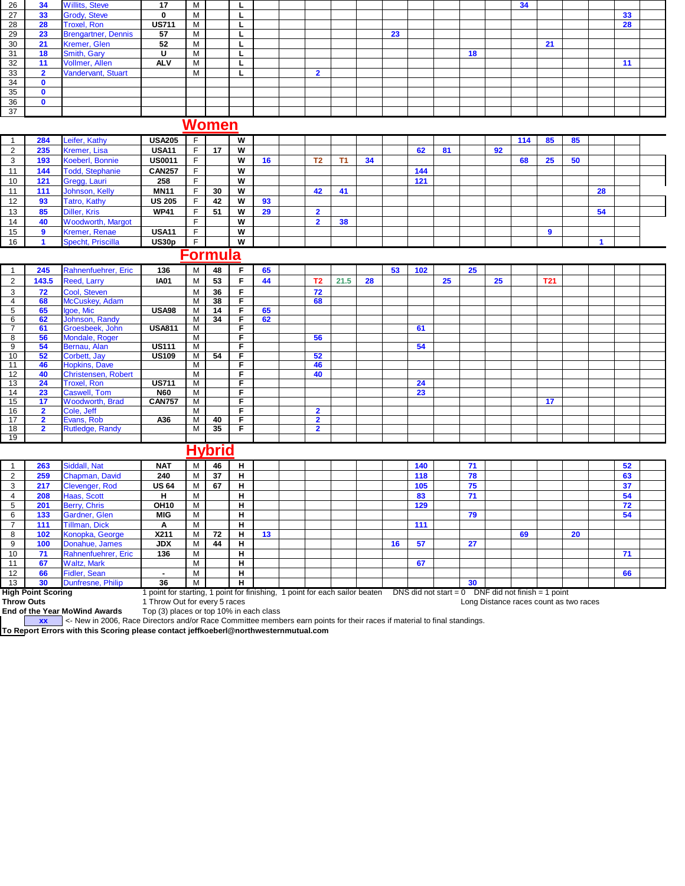| 26             | 34           | <b>Willits, Steve</b>      | 17           | м          |          |  |  |    |  |    | 34 |    |  |    |  |
|----------------|--------------|----------------------------|--------------|------------|----------|--|--|----|--|----|----|----|--|----|--|
| 27             | 33           | <b>Grody, Steve</b>        |              | <b>IVI</b> |          |  |  |    |  |    |    |    |  | 33 |  |
| 28             | 28           | <b>Troxel, Ron</b>         | <b>US711</b> | м          | L.,      |  |  |    |  |    |    |    |  | 28 |  |
| 29             | 23           | <b>Brengartner, Dennis</b> | 57           | M          |          |  |  | 23 |  |    |    |    |  |    |  |
| 30             | 21           | Kremer, Glen               | 52           | м          |          |  |  |    |  |    |    | 21 |  |    |  |
| 3 <sup>1</sup> | 18           | Smith, Gary                | U            | М          | ш.       |  |  |    |  | 18 |    |    |  |    |  |
| 32             | 44.          | Vollmer, Allen             | <b>ALV</b>   | M          | <u>.</u> |  |  |    |  |    |    |    |  | 11 |  |
| 33             | $\mathbf{r}$ | Vandervant, Stuart         |              | M          | <u>.</u> |  |  |    |  |    |    |    |  |    |  |
| 34             | $\mathbf{0}$ |                            |              |            |          |  |  |    |  |    |    |    |  |    |  |
| 35             | 0            |                            |              |            |          |  |  |    |  |    |    |    |  |    |  |
| 36             | $\mathbf{0}$ |                            |              |            |          |  |  |    |  |    |    |    |  |    |  |
| 37             |              |                            |              |            |          |  |  |    |  |    |    |    |  |    |  |

# **Women**

|    | 284 | Leifer, Kathy            | <b>USA205</b> |    | W |    |    |    |    |     |    |    | 114 | 85 | 85 |    |  |
|----|-----|--------------------------|---------------|----|---|----|----|----|----|-----|----|----|-----|----|----|----|--|
|    | 235 | Kremer, Lisa             | <b>USA11</b>  | 17 | W |    |    |    |    | 62  | 81 | 92 |     |    |    |    |  |
|    | 193 | Koeberl, Bonnie          | <b>US0011</b> |    | w | 16 | Τ2 |    | 34 |     |    |    | 68  | 25 | 50 |    |  |
|    | 144 | <b>Todd, Stephanie</b>   | <b>CAN257</b> |    | W |    |    |    |    | 144 |    |    |     |    |    |    |  |
| 10 | 121 | Gregg, Lauri             | 258           |    | W |    |    |    |    | 121 |    |    |     |    |    |    |  |
|    | 111 | Johnson, Kelly           | <b>MN11</b>   | 30 | W |    | 42 | 41 |    |     |    |    |     |    |    | 28 |  |
| 12 | 93  | <b>Tatro, Kathy</b>      | <b>US 205</b> | 42 | W | 93 |    |    |    |     |    |    |     |    |    |    |  |
| 13 | 85  | Diller, Kris             | <b>WP41</b>   | 51 | W | 29 |    |    |    |     |    |    |     |    |    | 54 |  |
| 14 | 40  | <b>Woodworth, Margot</b> |               |    | w |    |    | 38 |    |     |    |    |     |    |    |    |  |
| 15 |     | <b>Kremer, Renae</b>     | <b>USA11</b>  |    | w |    |    |    |    |     |    |    |     |    |    |    |  |
| 16 |     | Specht, Priscilla        | US30p         |    | W |    |    |    |    |     |    |    |     |    |    |    |  |

## **Formula**

|                | 245                     | Rahnenfuehrer, Eric        | 136           | м | 48            |    | 65 |                |      |    | 53 | 102 <sub>1</sub> |    | 25 |    |            |  |  |
|----------------|-------------------------|----------------------------|---------------|---|---------------|----|----|----------------|------|----|----|------------------|----|----|----|------------|--|--|
| 2              | 143.5                   | Reed, Larry                | <b>IA01</b>   | м | 53            | F. | 44 | T <sub>2</sub> | 21.5 | 28 |    |                  | 25 |    | 25 | <b>T21</b> |  |  |
| 3              | 72                      | Cool, Steven               |               | м | 36            | F. |    | 72             |      |    |    |                  |    |    |    |            |  |  |
| $\overline{4}$ | 68                      | McCuskey, Adam             |               | M | 38            | F. |    | 68             |      |    |    |                  |    |    |    |            |  |  |
| 5              | 65                      | Igoe, Mic                  | <b>USA98</b>  | M | 14            | F. | 65 |                |      |    |    |                  |    |    |    |            |  |  |
| 6              | 62                      | Johnson, Randy             |               | M | 34            | E  | 62 |                |      |    |    |                  |    |    |    |            |  |  |
| $\overline{ }$ | 61                      | Groesbeek, John            | <b>USA811</b> | м |               | F. |    |                |      |    |    | 61               |    |    |    |            |  |  |
| 8              | 56                      | Mondale, Roger             |               | м |               | F. |    | 56             |      |    |    |                  |    |    |    |            |  |  |
| 9              | 54                      | Bernau, Alan               | <b>US111</b>  | M |               | F  |    |                |      |    |    | 54               |    |    |    |            |  |  |
| $10^{-}$       | 52                      | Corbett, Jay               | <b>US109</b>  | м | 54            | Е  |    | 52             |      |    |    |                  |    |    |    |            |  |  |
| 11             | 46                      | Hopkins, Dave              |               | м |               | F. |    | 46             |      |    |    |                  |    |    |    |            |  |  |
| 12             | 40                      | <b>Christensen, Robert</b> |               | м |               | F  |    | 40             |      |    |    |                  |    |    |    |            |  |  |
| 13             | 24                      | <b>Troxel, Ron</b>         | <b>US711</b>  | M |               | F. |    |                |      |    |    | 24               |    |    |    |            |  |  |
| 14             | 23                      | Caswell, Tom               | <b>N60</b>    | М |               | F  |    |                |      |    |    | 23               |    |    |    |            |  |  |
| 15             | 17                      | <b>Woodworth, Brad</b>     | <b>CAN757</b> | M |               | Е  |    |                |      |    |    |                  |    |    |    | 17         |  |  |
| 16             | $\overline{2}$          | Cole, Jeff                 |               | M |               | F. |    | $\overline{2}$ |      |    |    |                  |    |    |    |            |  |  |
| 17             | $\overline{\mathbf{2}}$ | Evans, Rob                 | A36           | м | 40            | F  |    | $\overline{2}$ |      |    |    |                  |    |    |    |            |  |  |
| 18             | $\overline{\mathbf{2}}$ | Rutledge, Randy            |               | м | 35            | F  |    | $\overline{2}$ |      |    |    |                  |    |    |    |            |  |  |
| 19             |                         |                            |               |   |               |    |    |                |      |    |    |                  |    |    |    |            |  |  |
|                |                         |                            |               |   | <b>Hybrid</b> |    |    |                |      |    |    |                  |    |    |    |            |  |  |

|                   | 263                       | Siddall, Nat         | <b>NAT</b>                                 |   | 46 | н  |                                        |  |  |                                |    | 140 |                                                      | 71 |    |    | 52 |  |
|-------------------|---------------------------|----------------------|--------------------------------------------|---|----|----|----------------------------------------|--|--|--------------------------------|----|-----|------------------------------------------------------|----|----|----|----|--|
|                   | 259                       | Chapman, David       | 240                                        |   | 37 | н  |                                        |  |  |                                |    | 118 |                                                      | 78 |    |    | 63 |  |
| 3                 | 217                       | Clevenger, Rod       | <b>US 64</b>                               | м | 67 | н  |                                        |  |  |                                |    | 105 |                                                      | 75 |    |    | 37 |  |
| 4                 | 208                       | Haas, Scott          | н                                          |   |    | н. |                                        |  |  |                                |    | 83  |                                                      | 71 |    |    | 54 |  |
| 5                 | 201                       | Berry, Chris         | <b>OH10</b>                                | M |    | н  |                                        |  |  |                                |    | 129 |                                                      |    |    |    | 72 |  |
| 6                 | 133                       | Gardner, Glen        | <b>MIG</b>                                 | м |    | н  |                                        |  |  |                                |    |     |                                                      | 79 |    |    | 54 |  |
|                   | 111                       | <b>Tillman, Dick</b> | А                                          | м |    | н  |                                        |  |  |                                |    | 111 |                                                      |    |    |    |    |  |
| 8                 | 102                       | Konopka, George      | X211                                       | м | 72 | н  | 13                                     |  |  |                                |    |     |                                                      |    | 69 | 20 |    |  |
| 9                 | 100                       | Donahue, James       | <b>JDX</b>                                 |   | 44 | н. |                                        |  |  |                                | 16 | 57  |                                                      | 27 |    |    |    |  |
| 10                | 71                        | Rahnenfuehrer, Eric  | 136                                        | м |    | н  |                                        |  |  |                                |    |     |                                                      |    |    |    | 71 |  |
| 11                | 67                        | <b>Waltz, Mark</b>   |                                            | м |    | н  |                                        |  |  |                                |    | 67  |                                                      |    |    |    |    |  |
| 12                | 66                        | Fidler, Sean         |                                            | м |    | н  |                                        |  |  |                                |    |     |                                                      |    |    |    | 66 |  |
| 13                | 30                        | Dunfresne, Philip    | 36                                         | м |    | н  |                                        |  |  |                                |    |     |                                                      | 30 |    |    |    |  |
|                   | <b>High Point Scoring</b> |                      | point for starting, 1 point for finishing, |   |    |    |                                        |  |  | 1 point for each sailor beaten |    |     | DNS did not start = $0$ DNF did not finish = 1 point |    |    |    |    |  |
| <b>Throw Outs</b> |                           |                      |                                            |   |    |    | Long Distance races count as two races |  |  |                                |    |     |                                                      |    |    |    |    |  |

**Throw Outs 1** Throw Out for every 5 races **Long Distance races** Count as two races

**End of the Year MoWind Awards** Top (3) places or top 10% in each class

**xx** <- New in 2006, Race Directors and/or Race Committee members earn points for their races if material to final standings.

**To Report Errors with this Scoring please contact jeffkoeberl@northwesternmutual.com**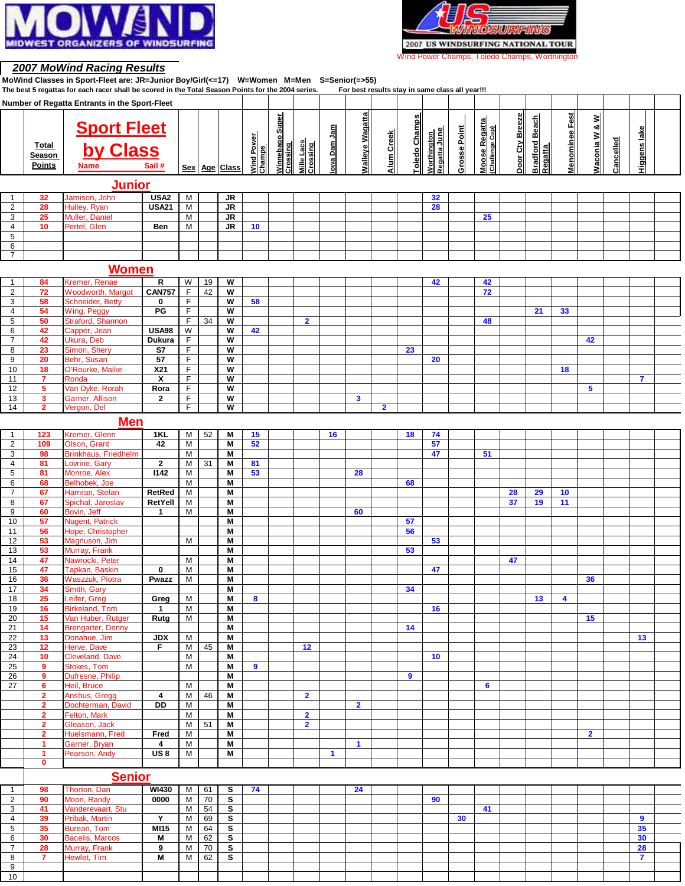



### **2007 MoWind Racing Results**

 

**MoWind Classes in Sport-Fleet are: JR=Junior Boy/Girl(<=17) W=Women M=Men S=Senior(=>55)**

|                |                      | The best 5 regattas for each racer shall be scored in the Total Season Points for the 2004 series. |                  |                |    |                         |                      |                 |                               |              | For best results stay in same class all year!!! |              |               |                                    |                     |                                  |                 |                       |                       |                  |           |                         |  |
|----------------|----------------------|----------------------------------------------------------------------------------------------------|------------------|----------------|----|-------------------------|----------------------|-----------------|-------------------------------|--------------|-------------------------------------------------|--------------|---------------|------------------------------------|---------------------|----------------------------------|-----------------|-----------------------|-----------------------|------------------|-----------|-------------------------|--|
|                |                      | Number of Regatta Entrants in the Sport-Fleet                                                      |                  |                |    |                         |                      |                 |                               |              |                                                 |              |               |                                    |                     |                                  |                 |                       |                       |                  |           |                         |  |
|                |                      |                                                                                                    |                  |                |    |                         |                      |                 |                               |              |                                                 |              |               |                                    |                     |                                  |                 |                       |                       |                  |           |                         |  |
|                |                      |                                                                                                    |                  |                |    |                         |                      | Winnebago Super |                               |              | <b>Walleye Wagatta</b>                          |              | Toledo Champs |                                    |                     |                                  | Door Cty Breeze | <b>Bradford Beach</b> | <b>Menominee Fest</b> | Waconia W & W    |           |                         |  |
|                |                      | <b>Sport Fleet</b><br>by Class                                                                     |                  |                |    |                         |                      |                 |                               |              |                                                 |              |               |                                    |                     | Moose Regatta<br>(Challenge Cup) |                 |                       |                       |                  |           |                         |  |
|                |                      |                                                                                                    |                  |                |    |                         |                      |                 |                               | lowa Dam Jam |                                                 | Alum Creek   |               | Regatta June<br><b>Worthington</b> | <b>Grosse Point</b> |                                  |                 |                       |                       |                  |           | Higgens lake            |  |
|                | Total                |                                                                                                    |                  |                |    |                         |                      |                 |                               |              |                                                 |              |               |                                    |                     |                                  |                 |                       |                       |                  |           |                         |  |
|                | Season               |                                                                                                    |                  |                |    |                         | Wind Power<br>Champs | Crossing        | <b>Mille Lacs</b><br>Crossing |              |                                                 |              |               |                                    |                     |                                  |                 | <b>Regatta</b>        |                       |                  | Cancelled |                         |  |
|                | <b>Points</b>        | <b>Name</b>                                                                                        | Sail #           |                |    | Sex Age Class           |                      |                 |                               |              |                                                 |              |               |                                    |                     |                                  |                 |                       |                       |                  |           |                         |  |
|                |                      |                                                                                                    |                  |                |    |                         |                      |                 |                               |              |                                                 |              |               |                                    |                     |                                  |                 |                       |                       |                  |           |                         |  |
|                |                      | <b>Junior</b>                                                                                      |                  |                |    |                         |                      |                 |                               |              |                                                 |              |               |                                    |                     |                                  |                 |                       |                       |                  |           |                         |  |
|                |                      |                                                                                                    |                  |                |    |                         |                      |                 |                               |              |                                                 |              |               |                                    |                     |                                  |                 |                       |                       |                  |           |                         |  |
| -1             | 32                   | Jamison, John                                                                                      | USA <sub>2</sub> | M              |    | JR                      |                      |                 |                               |              |                                                 |              |               | 32                                 |                     |                                  |                 |                       |                       |                  |           |                         |  |
| 2              | 28                   | Hulley, Ryan                                                                                       | <b>USA21</b>     | M              |    | JR                      |                      |                 |                               |              |                                                 |              |               | 28                                 |                     |                                  |                 |                       |                       |                  |           |                         |  |
| 3              | 25                   | <b>Muller, Daniel</b>                                                                              |                  | M              |    | <b>JR</b>               |                      |                 |                               |              |                                                 |              |               |                                    |                     | 25                               |                 |                       |                       |                  |           |                         |  |
| $\overline{4}$ | 10                   | Pertel, Glen                                                                                       | Ben              | M              |    | JR                      | 10                   |                 |                               |              |                                                 |              |               |                                    |                     |                                  |                 |                       |                       |                  |           |                         |  |
| 5              |                      |                                                                                                    |                  |                |    |                         |                      |                 |                               |              |                                                 |              |               |                                    |                     |                                  |                 |                       |                       |                  |           |                         |  |
| 6              |                      |                                                                                                    |                  |                |    |                         |                      |                 |                               |              |                                                 |              |               |                                    |                     |                                  |                 |                       |                       |                  |           |                         |  |
| 7              |                      |                                                                                                    |                  |                |    |                         |                      |                 |                               |              |                                                 |              |               |                                    |                     |                                  |                 |                       |                       |                  |           |                         |  |
|                |                      |                                                                                                    |                  |                |    |                         |                      |                 |                               |              |                                                 |              |               |                                    |                     |                                  |                 |                       |                       |                  |           |                         |  |
|                |                      | <b>Women</b>                                                                                       |                  |                |    |                         |                      |                 |                               |              |                                                 |              |               |                                    |                     |                                  |                 |                       |                       |                  |           |                         |  |
| $\mathbf{1}$   | 84                   | Kremer, Renae                                                                                      | R                | W              | 19 | W                       |                      |                 |                               |              |                                                 |              |               | 42                                 |                     | 42                               |                 |                       |                       |                  |           |                         |  |
| $\overline{2}$ | 72                   |                                                                                                    | <b>CAN757</b>    | $\mathsf F$    | 42 | W                       |                      |                 |                               |              |                                                 |              |               |                                    |                     | 72                               |                 |                       |                       |                  |           |                         |  |
|                |                      | <b>Woodworth, Margot</b>                                                                           |                  |                |    |                         |                      |                 |                               |              |                                                 |              |               |                                    |                     |                                  |                 |                       |                       |                  |           |                         |  |
| 3              | 58                   | Schneider, Betty                                                                                   | 0                | F              |    | W                       | 58                   |                 |                               |              |                                                 |              |               |                                    |                     |                                  |                 |                       |                       |                  |           |                         |  |
| $\overline{4}$ | 54                   | Wing, Peggy                                                                                        | PG               | $\mathsf F$    |    | W                       |                      |                 |                               |              |                                                 |              |               |                                    |                     |                                  |                 | 21                    | 33                    |                  |           |                         |  |
| 5              | 50                   | Straford, Shannon                                                                                  |                  | $\mathsf F$    | 34 | W                       |                      |                 | $\overline{2}$                |              |                                                 |              |               |                                    |                     | 48                               |                 |                       |                       |                  |           |                         |  |
| 6              | 42                   | Capper, Jean                                                                                       | <b>USA98</b>     | W              |    | W                       | 42                   |                 |                               |              |                                                 |              |               |                                    |                     |                                  |                 |                       |                       |                  |           |                         |  |
| $\overline{7}$ | 42                   | Ukura, Deb                                                                                         | Dukura           | F              |    | W                       |                      |                 |                               |              |                                                 |              |               |                                    |                     |                                  |                 |                       |                       | 42               |           |                         |  |
| 8              | 23                   | Simon, Shery                                                                                       | S7               | F              |    | W                       |                      |                 |                               |              |                                                 |              | 23            |                                    |                     |                                  |                 |                       |                       |                  |           |                         |  |
| 9              | 20                   | Behr, Susan                                                                                        | 57               | $\mathsf F$    |    | W                       |                      |                 |                               |              |                                                 |              |               | 20                                 |                     |                                  |                 |                       |                       |                  |           |                         |  |
| 10             | 18                   | O'Rourke, Maike                                                                                    | X21              | $\mathsf F$    |    | W                       |                      |                 |                               |              |                                                 |              |               |                                    |                     |                                  |                 |                       | 18                    |                  |           |                         |  |
|                | $\overline{7}$       |                                                                                                    |                  | F              |    | W                       |                      |                 |                               |              |                                                 |              |               |                                    |                     |                                  |                 |                       |                       |                  |           | $\overline{\mathbf{r}}$ |  |
| 11             |                      | Ronda                                                                                              | χ                |                |    |                         |                      |                 |                               |              |                                                 |              |               |                                    |                     |                                  |                 |                       |                       |                  |           |                         |  |
| 12             | 5                    | Van Dyke, Rorah                                                                                    | Rora             | F              |    | W                       |                      |                 |                               |              |                                                 |              |               |                                    |                     |                                  |                 |                       |                       | 5                |           |                         |  |
| 13             | 3                    | Garner, Allison                                                                                    | $\mathbf{2}$     | F              |    | W                       |                      |                 |                               |              | 3                                               |              |               |                                    |                     |                                  |                 |                       |                       |                  |           |                         |  |
| 14             | $\mathbf{2}$         | Vergon, Del                                                                                        |                  | F              |    | W                       |                      |                 |                               |              |                                                 | $\mathbf{2}$ |               |                                    |                     |                                  |                 |                       |                       |                  |           |                         |  |
|                |                      | <b>Men</b>                                                                                         |                  |                |    |                         |                      |                 |                               |              |                                                 |              |               |                                    |                     |                                  |                 |                       |                       |                  |           |                         |  |
|                |                      |                                                                                                    |                  |                |    |                         |                      |                 |                               |              |                                                 |              |               |                                    |                     |                                  |                 |                       |                       |                  |           |                         |  |
| $\mathbf{1}$   | 123                  | Kremer, Glenn                                                                                      | 1KL              | M              | 52 | M                       | 15                   |                 |                               | 16           |                                                 |              | 18            | 74                                 |                     |                                  |                 |                       |                       |                  |           |                         |  |
| 2              | 109                  | Olson, Grant                                                                                       | 42               | M              |    | M                       | 52                   |                 |                               |              |                                                 |              |               | 57                                 |                     |                                  |                 |                       |                       |                  |           |                         |  |
| 3              | 98                   | <b>Brinkhaus, Friedhelm</b>                                                                        |                  | M              |    | M                       |                      |                 |                               |              |                                                 |              |               | 47                                 |                     | 51                               |                 |                       |                       |                  |           |                         |  |
| 4              | 81                   | ovrine, Gary                                                                                       | $\mathbf{2}$     | M              | 31 | Μ                       | 81                   |                 |                               |              |                                                 |              |               |                                    |                     |                                  |                 |                       |                       |                  |           |                         |  |
| 5              | 81                   | Monroe, Alex                                                                                       | 1142             | M              |    | M                       | 53                   |                 |                               |              | 28                                              |              |               |                                    |                     |                                  |                 |                       |                       |                  |           |                         |  |
| 6              | 68                   | Belhobek, Joe                                                                                      |                  | M              |    | M                       |                      |                 |                               |              |                                                 |              | 68            |                                    |                     |                                  |                 |                       |                       |                  |           |                         |  |
| $\overline{7}$ | 67                   | Hamran, Stefan                                                                                     | RetRed           | $\overline{M}$ |    | M                       |                      |                 |                               |              |                                                 |              |               |                                    |                     |                                  | 28              | 29                    | 10                    |                  |           |                         |  |
| 8              | 67                   | Spichal, Jaroslav                                                                                  | RetYell          | M              |    | M                       |                      |                 |                               |              |                                                 |              |               |                                    |                     |                                  | 37              | 19                    | 11                    |                  |           |                         |  |
| 9              | 60                   | Bovin, Jeff                                                                                        | 1                | M              |    | M                       |                      |                 |                               |              | 60                                              |              |               |                                    |                     |                                  |                 |                       |                       |                  |           |                         |  |
|                |                      |                                                                                                    |                  |                |    |                         |                      |                 |                               |              |                                                 |              |               |                                    |                     |                                  |                 |                       |                       |                  |           |                         |  |
| 10             | 57                   | <b>Nugent, Patrick</b>                                                                             |                  |                |    | M                       |                      |                 |                               |              |                                                 |              | 57            |                                    |                     |                                  |                 |                       |                       |                  |           |                         |  |
| 11             | 56                   | Hope, Christopher                                                                                  |                  |                |    | Μ                       |                      |                 |                               |              |                                                 |              | 56            |                                    |                     |                                  |                 |                       |                       |                  |           |                         |  |
| 12             | 53                   | Magnuson, Jim                                                                                      |                  | M              |    | M                       |                      |                 |                               |              |                                                 |              |               | 53                                 |                     |                                  |                 |                       |                       |                  |           |                         |  |
| 13             | 53                   | Murray, Frank                                                                                      |                  |                |    | Μ                       |                      |                 |                               |              |                                                 |              | 53            |                                    |                     |                                  |                 |                       |                       |                  |           |                         |  |
| 14             | 47                   | Nawrocki, Peter                                                                                    |                  | M              |    | M                       |                      |                 |                               |              |                                                 |              |               |                                    |                     |                                  | 47              |                       |                       |                  |           |                         |  |
| 15             | 47                   | Tapkan, Baskin                                                                                     | $\bf{0}$         | M              |    | M                       |                      |                 |                               |              |                                                 |              |               | 47                                 |                     |                                  |                 |                       |                       |                  |           |                         |  |
| 16             | 36                   | <b>Waszzuk, Piotra</b>                                                                             | Pwazz            | M              |    | M                       |                      |                 |                               |              |                                                 |              |               |                                    |                     |                                  |                 |                       |                       | 36               |           |                         |  |
| 17             | 34                   | Smith, Gary                                                                                        |                  |                |    | $\overline{\mathsf{M}}$ |                      |                 |                               |              |                                                 |              | 34            |                                    |                     |                                  |                 |                       |                       |                  |           |                         |  |
| 18             | 25                   | Leifer, Greg                                                                                       | Greg             | M              |    | M                       | 8                    |                 |                               |              |                                                 |              |               |                                    |                     |                                  |                 | 13                    | 4                     |                  |           |                         |  |
| 19             | 16                   | <b>Birkeland, Tom</b>                                                                              | $\mathbf{1}$     | M              |    | M                       |                      |                 |                               |              |                                                 |              |               | 16                                 |                     |                                  |                 |                       |                       |                  |           |                         |  |
| 20             | 15                   | Van Huber, Rutger                                                                                  | Rutg             | M              |    | M                       |                      |                 |                               |              |                                                 |              |               |                                    |                     |                                  |                 |                       |                       | 15 <sub>15</sub> |           |                         |  |
|                | 14                   |                                                                                                    |                  |                |    | M                       |                      |                 |                               |              |                                                 |              |               |                                    |                     |                                  |                 |                       |                       |                  |           |                         |  |
| 21             |                      | <b>Brengarter, Denny</b>                                                                           |                  |                |    |                         |                      |                 |                               |              |                                                 |              | 14            |                                    |                     |                                  |                 |                       |                       |                  |           |                         |  |
| 22             | 13                   | Donahue, Jim                                                                                       | <b>JDX</b>       | M              |    | M                       |                      |                 |                               |              |                                                 |              |               |                                    |                     |                                  |                 |                       |                       |                  |           | 13                      |  |
| 23             | 12                   | Herve, Dave                                                                                        | F                | M              | 45 | М                       |                      |                 | 12                            |              |                                                 |              |               |                                    |                     |                                  |                 |                       |                       |                  |           |                         |  |
| 24             | 10 <sub>1</sub>      | Cleveland, Dave                                                                                    |                  | $\overline{M}$ |    | M                       |                      |                 |                               |              |                                                 |              |               | 10                                 |                     |                                  |                 |                       |                       |                  |           |                         |  |
| 25             | 9                    | Stokes, Tom                                                                                        |                  | M              |    | M                       | 9                    |                 |                               |              |                                                 |              |               |                                    |                     |                                  |                 |                       |                       |                  |           |                         |  |
| 26             | 9                    | Dufresne, Philip                                                                                   |                  |                |    | M                       |                      |                 |                               |              |                                                 |              | 9             |                                    |                     |                                  |                 |                       |                       |                  |           |                         |  |
| 27             | 6                    | Heil, Bruce                                                                                        |                  | M              |    | M                       |                      |                 |                               |              |                                                 |              |               |                                    |                     | 6                                |                 |                       |                       |                  |           |                         |  |
|                | $\overline{2}$       | Anshus, Grega                                                                                      | 4                | М              | 46 | М                       |                      |                 | $\overline{2}$                |              |                                                 |              |               |                                    |                     |                                  |                 |                       |                       |                  |           |                         |  |
|                | $\mathbf{2}$         | Dochterman, David                                                                                  | DD               | M              |    | М                       |                      |                 |                               |              | $\overline{2}$                                  |              |               |                                    |                     |                                  |                 |                       |                       |                  |           |                         |  |
|                | $\mathbf{2}$         | Felton, Mark                                                                                       |                  | M              |    | M                       |                      |                 | $\overline{2}$                |              |                                                 |              |               |                                    |                     |                                  |                 |                       |                       |                  |           |                         |  |
|                | $\overline{2}$       | Gleason, Jack                                                                                      |                  | M              | 51 | М                       |                      |                 | $\overline{2}$                |              |                                                 |              |               |                                    |                     |                                  |                 |                       |                       |                  |           |                         |  |
|                |                      |                                                                                                    |                  |                |    |                         |                      |                 |                               |              |                                                 |              |               |                                    |                     |                                  |                 |                       |                       |                  |           |                         |  |
|                | $\overline{2}$       | Huelsmann, Fred                                                                                    | Fred             | M              |    | М                       |                      |                 |                               |              |                                                 |              |               |                                    |                     |                                  |                 |                       |                       | $\overline{2}$   |           |                         |  |
|                | $\blacktriangleleft$ | Garner, Bryan                                                                                      | 4                | M              |    | M                       |                      |                 |                               |              | $\blacktriangleleft$                            |              |               |                                    |                     |                                  |                 |                       |                       |                  |           |                         |  |
|                | $\mathbf{1}$         | Pearson, Andy                                                                                      | US <sub>8</sub>  | M              |    | М                       |                      |                 |                               | $\mathbf{1}$ |                                                 |              |               |                                    |                     |                                  |                 |                       |                       |                  |           |                         |  |
|                | 0                    |                                                                                                    |                  |                |    |                         |                      |                 |                               |              |                                                 |              |               |                                    |                     |                                  |                 |                       |                       |                  |           |                         |  |
|                |                      | <b>Senior</b>                                                                                      |                  |                |    |                         |                      |                 |                               |              |                                                 |              |               |                                    |                     |                                  |                 |                       |                       |                  |           |                         |  |
|                |                      |                                                                                                    |                  |                |    |                         |                      |                 |                               |              |                                                 |              |               |                                    |                     |                                  |                 |                       |                       |                  |           |                         |  |
| $\mathbf{1}$   | 98                   | Thorton, Dan                                                                                       | <b>WI430</b>     | M              | 61 | s                       | 74                   |                 |                               |              | 24                                              |              |               |                                    |                     |                                  |                 |                       |                       |                  |           |                         |  |
| $\overline{2}$ | 90                   | Moon, Randy                                                                                        | 0000             | M              | 70 | s                       |                      |                 |                               |              |                                                 |              |               | 90                                 |                     |                                  |                 |                       |                       |                  |           |                         |  |
| 3              | 41                   | Vanderevaart, Stu                                                                                  |                  | M              | 54 | s                       |                      |                 |                               |              |                                                 |              |               |                                    |                     | 41                               |                 |                       |                       |                  |           |                         |  |
| 4              | 39                   | Pribak, Martin                                                                                     | Υ                | M              | 69 | S                       |                      |                 |                               |              |                                                 |              |               |                                    | 30                  |                                  |                 |                       |                       |                  |           | 9                       |  |
| 5 <sup>5</sup> | 35                   | Burean, Tom                                                                                        | MI15             | M              | 64 | $\overline{\mathbf{s}}$ |                      |                 |                               |              |                                                 |              |               |                                    |                     |                                  |                 |                       |                       |                  |           | 35                      |  |

 **30** Bacelis, Marcos **M** M 62 **S 30 28** Murray, Frank **9** M 70 **S 28 7** Hewlet, Tim **M** M 62 **S 7**